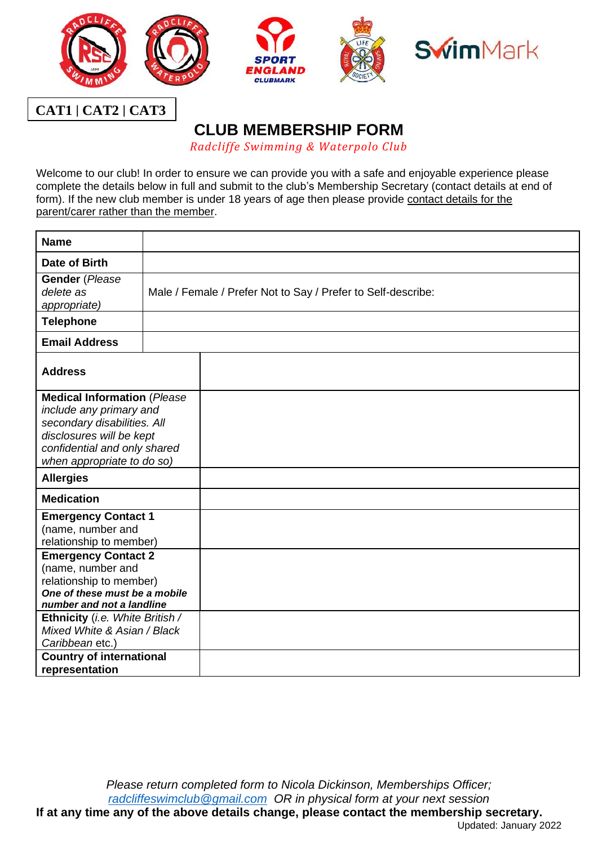

## **CLUB MEMBERSHIP FORM**

*Radcliffe Swimming & Waterpolo Club*

Welcome to our club! In order to ensure we can provide you with a safe and enjoyable experience please complete the details below in full and submit to the club's Membership Secretary (contact details at end of form). If the new club member is under 18 years of age then please provide contact details for the parent/carer rather than the member.

| <b>Name</b>                                                                                                                                                                            |  |                                                              |
|----------------------------------------------------------------------------------------------------------------------------------------------------------------------------------------|--|--------------------------------------------------------------|
| Date of Birth                                                                                                                                                                          |  |                                                              |
| <b>Gender (Please</b><br>delete as<br>appropriate)                                                                                                                                     |  | Male / Female / Prefer Not to Say / Prefer to Self-describe: |
| <b>Telephone</b>                                                                                                                                                                       |  |                                                              |
| <b>Email Address</b>                                                                                                                                                                   |  |                                                              |
| <b>Address</b>                                                                                                                                                                         |  |                                                              |
| <b>Medical Information (Please</b><br>include any primary and<br>secondary disabilities. All<br>disclosures will be kept<br>confidential and only shared<br>when appropriate to do so) |  |                                                              |
| <b>Allergies</b>                                                                                                                                                                       |  |                                                              |
| <b>Medication</b>                                                                                                                                                                      |  |                                                              |
| <b>Emergency Contact 1</b><br>(name, number and<br>relationship to member)                                                                                                             |  |                                                              |
| <b>Emergency Contact 2</b><br>(name, number and<br>relationship to member)<br>One of these must be a mobile<br>number and not a landline                                               |  |                                                              |
| Ethnicity (i.e. White British /<br>Mixed White & Asian / Black<br>Caribbean etc.)                                                                                                      |  |                                                              |
| <b>Country of international</b><br>representation                                                                                                                                      |  |                                                              |
|                                                                                                                                                                                        |  |                                                              |